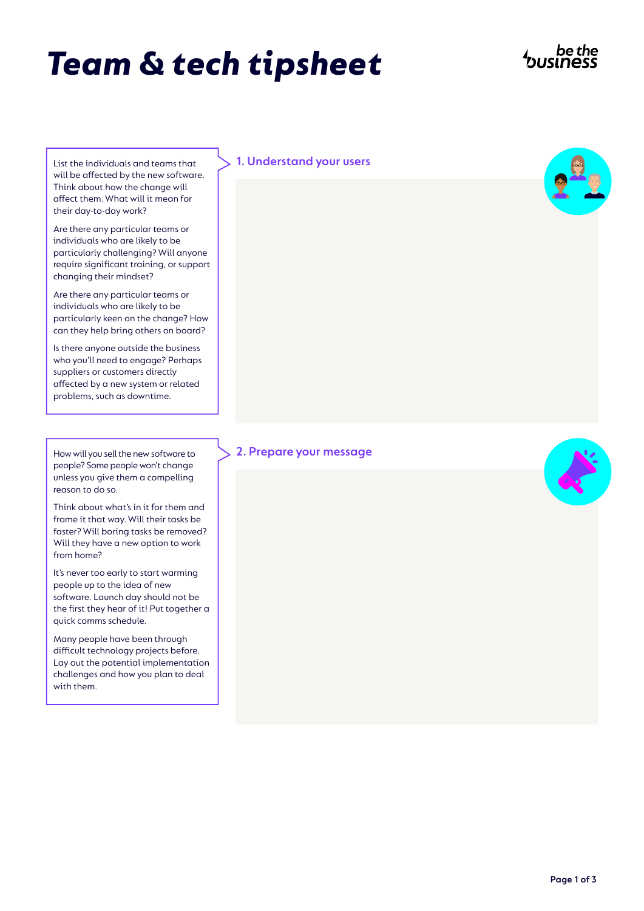# be the<br>USIN<del>A</del>SS

will be affected by the new software. Think about how the change will affect them. What will it mean for their day-to-day work?

Are there any particular teams or individuals who are likely to be particularly challenging? Will anyone require significant training, or support changing their mindset?

Are there any particular teams or individuals who are likely to be particularly keen on the change? How can they help bring others on board?

Is there anyone outside the business who you'll need to engage? Perhaps suppliers or customers directly affected by a new system or related problems, such as downtime.

How will you sell the new software to people? Some people won't change unless you give them a compelling reason to do so.

Think about what's in it for them and frame it that way. Will their tasks be faster? Will boring tasks be removed? Will they have a new option to work from home?

It's never too early to start warming people up to the idea of new software. Launch day should not be the first they hear of it! Put together a quick comms schedule.

Many people have been through difficult technology projects before. Lay out the potential implementation challenges and how you plan to deal with them.

### List the individuals and teams that **1. Understand your users**

**2. Prepare your message**

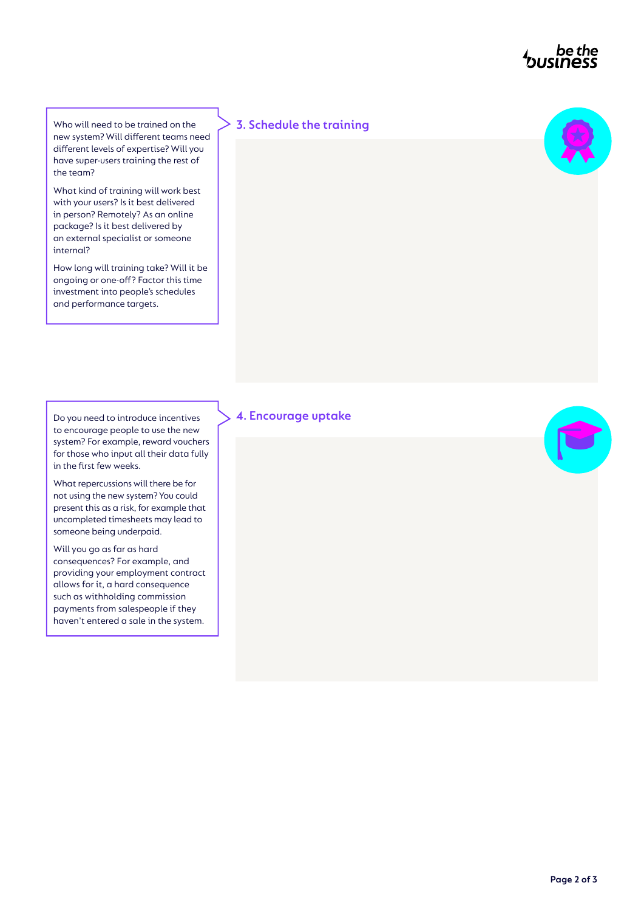### be the<br>business\*

Who will need to be trained on the new system? Will different teams need different levels of expertise? Will you have super-users training the rest of the team?

What kind of training will work best with your users? Is it best delivered in person? Remotely? As an online package? Is it best delivered by an external specialist or someone internal?

How long will training take? Will it be ongoing or one-off? Factor this time investment into people's schedules and performance targets.

### **3. Schedule the training**



#### **4. Encourage uptake**

Do you need to introduce incentives to encourage people to use the new system? For example, reward vouchers for those who input all their data fully in the first few weeks.

What repercussions will there be for not using the new system? You could present this as a risk, for example that uncompleted timesheets may lead to someone being underpaid.

Will you go as far as hard consequences? For example, and providing your employment contract allows for it, a hard consequence such as withholding commission payments from salespeople if they haven't entered a sale in the system.